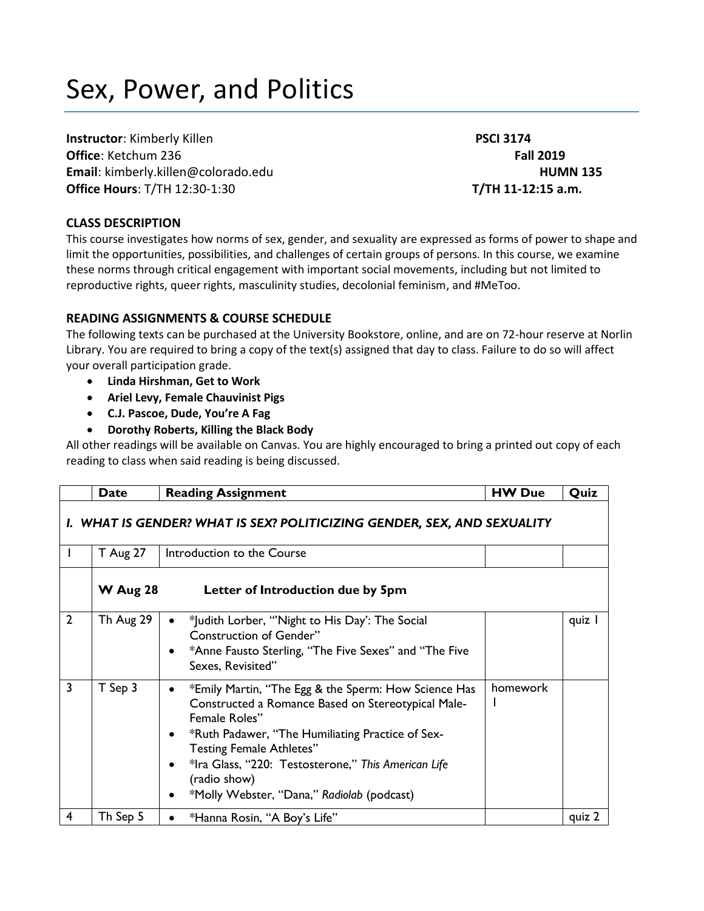# Sex, Power, and Politics

**Instructor**: Kimberly Killen **PSCI 3174 Office**: Ketchum 236 **Fall 2019 Email**: kimberly.killen@colorado.edu **HUMN 135 Office Hours**: T/TH 12:30-1:30 **T/TH 11-12:15 a.m.**

## **CLASS DESCRIPTION**

This course investigates how norms of sex, gender, and sexuality are expressed as forms of power to shape and limit the opportunities, possibilities, and challenges of certain groups of persons. In this course, we examine these norms through critical engagement with important social movements, including but not limited to reproductive rights, queer rights, masculinity studies, decolonial feminism, and #MeToo.

## **READING ASSIGNMENTS & COURSE SCHEDULE**

The following texts can be purchased at the University Bookstore, online, and are on 72-hour reserve at Norlin Library. You are required to bring a copy of the text(s) assigned that day to class. Failure to do so will affect your overall participation grade.

- **Linda Hirshman, Get to Work**
- **Ariel Levy, Female Chauvinist Pigs**
- **C.J. Pascoe, Dude, You're A Fag**
- **Dorothy Roberts, Killing the Black Body**

All other readings will be available on Canvas. You are highly encouraged to bring a printed out copy of each reading to class when said reading is being discussed.

|                | Date                                                                    | <b>Reading Assignment</b>                                                                                                                                                                                                                                                                                                                                 | <b>HW Due</b> | Quiz   |  |
|----------------|-------------------------------------------------------------------------|-----------------------------------------------------------------------------------------------------------------------------------------------------------------------------------------------------------------------------------------------------------------------------------------------------------------------------------------------------------|---------------|--------|--|
|                | I. WHAT IS GENDER? WHAT IS SEX? POLITICIZING GENDER, SEX, AND SEXUALITY |                                                                                                                                                                                                                                                                                                                                                           |               |        |  |
|                | <b>T</b> Aug 27                                                         | Introduction to the Course                                                                                                                                                                                                                                                                                                                                |               |        |  |
|                | <b>W</b> Aug 28                                                         | Letter of Introduction due by 5pm                                                                                                                                                                                                                                                                                                                         |               |        |  |
| $\overline{2}$ | Th Aug 29                                                               | *Judith Lorber, "Night to His Day': The Social<br><b>Construction of Gender"</b><br>*Anne Fausto Sterling, "The Five Sexes" and "The Five<br>Sexes, Revisited"                                                                                                                                                                                            |               | quiz I |  |
| $\overline{3}$ | T Sep 3                                                                 | *Emily Martin, "The Egg & the Sperm: How Science Has<br>$\bullet$<br>Constructed a Romance Based on Stereotypical Male-<br>Female Roles"<br>*Ruth Padawer, "The Humiliating Practice of Sex-<br>٠<br><b>Testing Female Athletes"</b><br>*Ira Glass, "220: Testosterone," This American Life<br>(radio show)<br>*Molly Webster, "Dana," Radiolab (podcast) | homework      |        |  |
| 4              | Th Sep 5                                                                | *Hanna Rosin, "A Boy's Life"                                                                                                                                                                                                                                                                                                                              |               | quiz 2 |  |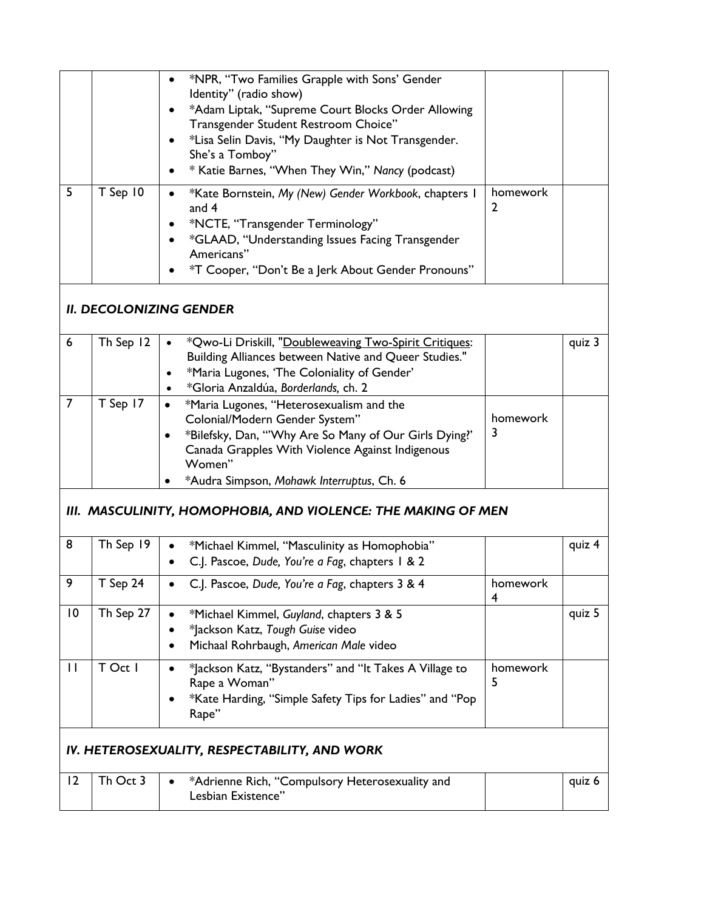|    |            | *NPR, "Two Families Grapple with Sons' Gender<br>Identity" (radio show)<br>*Adam Liptak, "Supreme Court Blocks Order Allowing<br>Transgender Student Restroom Choice"<br>*Lisa Selin Davis, "My Daughter is Not Transgender.<br>She's a Tomboy"<br>* Katie Barnes, "When They Win," Nancy (podcast)<br>$\bullet$ |          |  |
|----|------------|------------------------------------------------------------------------------------------------------------------------------------------------------------------------------------------------------------------------------------------------------------------------------------------------------------------|----------|--|
| .5 | $T$ Sep 10 | *Kate Bornstein, My (New) Gender Workbook, chapters I<br>$\bullet$<br>and $4$<br>*NCTE, "Transgender Terminology"<br>*GLAAD, "Understanding Issues Facing Transgender<br>Americans"<br>*T Cooper, "Don't Be a Jerk About Gender Pronouns"                                                                        | homework |  |

# *II. DECOLONIZING GENDER*

| -6 | Th Sep 12 | *Qwo-Li Driskill, "Doubleweaving Two-Spirit Critiques:                                                                                                                                                                                          |               | quiz 3 |
|----|-----------|-------------------------------------------------------------------------------------------------------------------------------------------------------------------------------------------------------------------------------------------------|---------------|--------|
|    |           | Building Alliances between Native and Queer Studies."                                                                                                                                                                                           |               |        |
|    |           | *Maria Lugones, 'The Coloniality of Gender'                                                                                                                                                                                                     |               |        |
|    |           | *Gloria Anzaldúa, Borderlands, ch. 2                                                                                                                                                                                                            |               |        |
|    | T Sep 17  | *Maria Lugones, "Heterosexualism and the<br>Colonial/Modern Gender System"<br>*Bilefsky, Dan, "'Why Are So Many of Our Girls Dying?'<br>Canada Grapples With Violence Against Indigenous<br>Women"<br>*Audra Simpson, Mohawk Interruptus, Ch. 6 | homework<br>3 |        |
|    |           |                                                                                                                                                                                                                                                 |               |        |

## *III. MASCULINITY, HOMOPHOBIA, AND VIOLENCE: THE MAKING OF MEN*

| 8               | Th Sep 19                                     | *Michael Kimmel, "Masculinity as Homophobia"<br>C.J. Pascoe, Dude, You're a Fag, chapters 1 & 2                                             |               | quiz 4 |  |
|-----------------|-----------------------------------------------|---------------------------------------------------------------------------------------------------------------------------------------------|---------------|--------|--|
| 9               | $T$ Sep 24                                    | C.J. Pascoe, Dude, You're a Fag, chapters 3 & 4                                                                                             | homework<br>4 |        |  |
| $\overline{10}$ | Th Sep 27                                     | *Michael Kimmel, Guyland, chapters 3 & 5<br>*Jackson Katz, Tough Guise video<br>Michaal Rohrbaugh, American Male video                      |               | quiz 5 |  |
| $\mathbf{H}$    | T Oct I                                       | *Jackson Katz, "Bystanders" and "It Takes A Village to<br>Rape a Woman"<br>*Kate Harding, "Simple Safety Tips for Ladies" and "Pop<br>Rape" | homework<br>5 |        |  |
|                 | IV. HETEROSEXUALITY, RESPECTABILITY, AND WORK |                                                                                                                                             |               |        |  |
| 12              | Th Oct 3                                      | *Adrienne Rich, "Compulsory Heterosexuality and<br>$\bullet$<br>Lesbian Existence"                                                          |               | quiz 6 |  |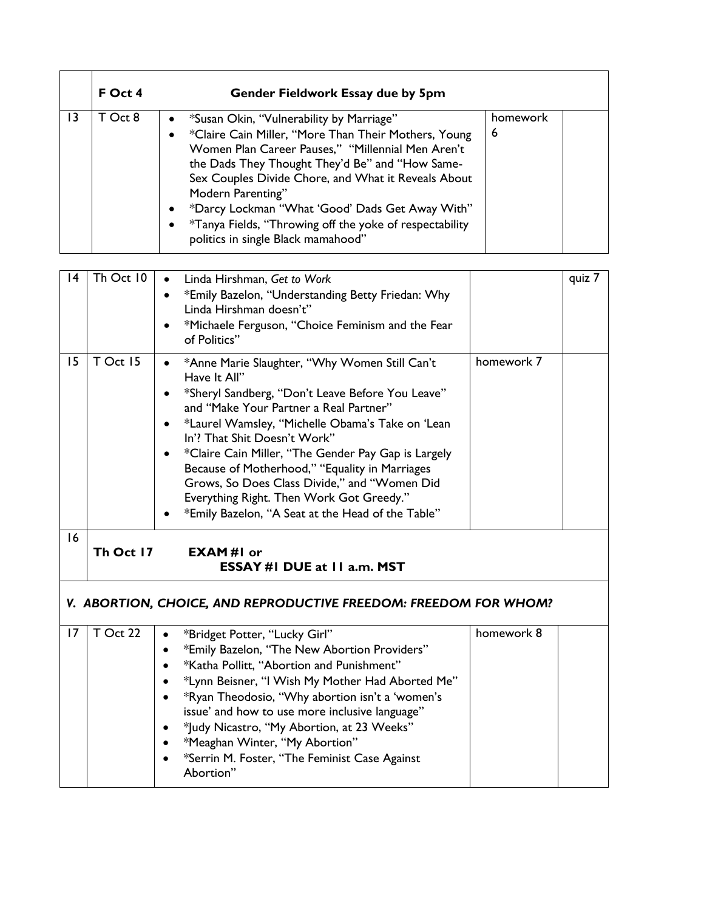|    | F Oct 4 | Gender Fieldwork Essay due by 5pm                                                                                                                                                                                                                                                                                                                                                                                                                                  |               |
|----|---------|--------------------------------------------------------------------------------------------------------------------------------------------------------------------------------------------------------------------------------------------------------------------------------------------------------------------------------------------------------------------------------------------------------------------------------------------------------------------|---------------|
| 13 | T Oct 8 | *Susan Okin, "Vulnerability by Marriage"<br>$\bullet$<br>*Claire Cain Miller, "More Than Their Mothers, Young<br>Women Plan Career Pauses," "Millennial Men Aren't<br>the Dads They Thought They'd Be" and "How Same-<br>Sex Couples Divide Chore, and What it Reveals About<br>Modern Parenting"<br>*Darcy Lockman "What 'Good' Dads Get Away With"<br>$\bullet$<br>*Tanya Fields, "Throwing off the yoke of respectability<br>politics in single Black mamahood" | homework<br>6 |

| 4  |           |                                                                                                                                                                                                                                                        |            |        |
|----|-----------|--------------------------------------------------------------------------------------------------------------------------------------------------------------------------------------------------------------------------------------------------------|------------|--------|
|    | Th Oct 10 | Linda Hirshman, Get to Work<br>$\bullet$                                                                                                                                                                                                               |            | quiz 7 |
|    |           | *Emily Bazelon, "Understanding Betty Friedan: Why<br>$\bullet$                                                                                                                                                                                         |            |        |
|    |           | Linda Hirshman doesn't"                                                                                                                                                                                                                                |            |        |
|    |           | *Michaele Ferguson, "Choice Feminism and the Fear<br>$\bullet$                                                                                                                                                                                         |            |        |
|    |           | of Politics"                                                                                                                                                                                                                                           |            |        |
| 15 | T Oct 15  | *Anne Marie Slaughter, "Why Women Still Can't<br>$\bullet$<br>Have It All"<br>*Sheryl Sandberg, "Don't Leave Before You Leave"<br>$\bullet$<br>and "Make Your Partner a Real Partner"<br>*Laurel Wamsley, "Michelle Obama's Take on 'Lean<br>$\bullet$ | homework 7 |        |
|    |           | In'? That Shit Doesn't Work"                                                                                                                                                                                                                           |            |        |
|    |           | *Claire Cain Miller, "The Gender Pay Gap is Largely<br>$\bullet$                                                                                                                                                                                       |            |        |
|    |           | Because of Motherhood," "Equality in Marriages                                                                                                                                                                                                         |            |        |
|    |           | Grows, So Does Class Divide," and "Women Did                                                                                                                                                                                                           |            |        |
|    |           | Everything Right. Then Work Got Greedy."                                                                                                                                                                                                               |            |        |
|    |           | *Emily Bazelon, "A Seat at the Head of the Table"                                                                                                                                                                                                      |            |        |
| 16 |           |                                                                                                                                                                                                                                                        |            |        |
|    | Th Oct 17 | <b>EXAM#I</b> or<br>ESSAY #1 DUE at 11 a.m. MST                                                                                                                                                                                                        |            |        |
|    |           | V. ABORTION, CHOICE, AND REPRODUCTIVE FREEDOM: FREEDOM FOR WHOM?                                                                                                                                                                                       |            |        |
| 17 | T Oct 22  | *Bridget Potter, "Lucky Girl"<br>$\bullet$                                                                                                                                                                                                             | homework 8 |        |
|    |           | *Emily Bazelon, "The New Abortion Providers"<br>$\bullet$                                                                                                                                                                                              |            |        |
|    |           | *Katha Pollitt, "Abortion and Punishment"<br>$\bullet$                                                                                                                                                                                                 |            |        |
|    |           | *Lynn Beisner, "I Wish My Mother Had Aborted Me"<br>$\bullet$                                                                                                                                                                                          |            |        |
|    |           | *Ryan Theodosio, "Why abortion isn't a 'women's<br>$\bullet$                                                                                                                                                                                           |            |        |
|    |           | issue' and how to use more inclusive language"                                                                                                                                                                                                         |            |        |
|    |           | *Judy Nicastro, "My Abortion, at 23 Weeks"<br>$\bullet$                                                                                                                                                                                                |            |        |
|    |           | *Meaghan Winter, "My Abortion"<br>$\bullet$<br>*Serrin M. Foster, "The Feminist Case Against                                                                                                                                                           |            |        |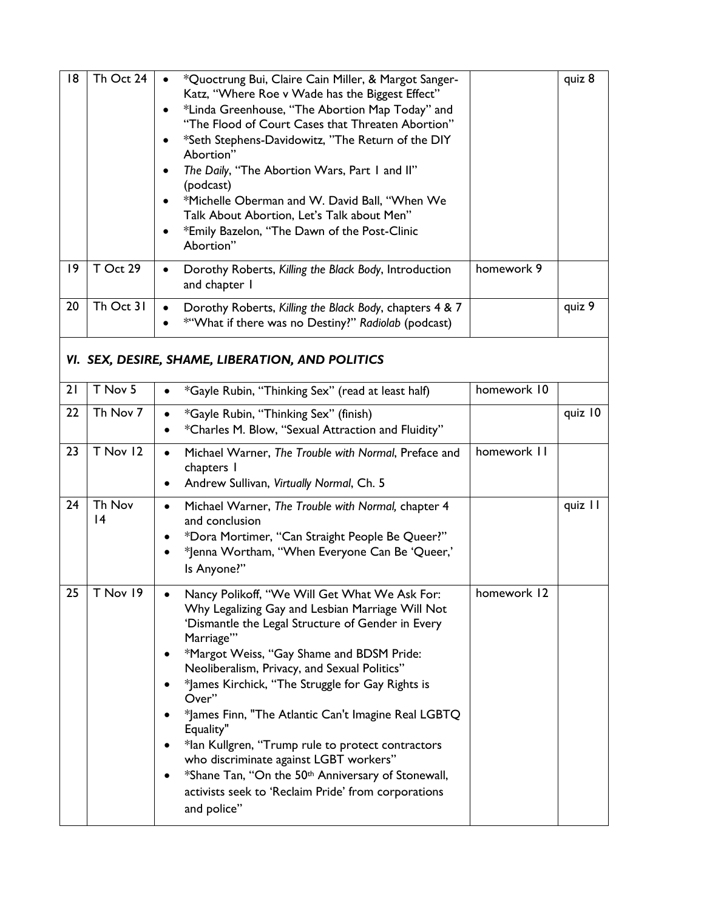| 8               | Th Oct 24    | *Quoctrung Bui, Claire Cain Miller, & Margot Sanger-<br>$\bullet$<br>Katz, "Where Roe v Wade has the Biggest Effect"<br>*Linda Greenhouse, "The Abortion Map Today" and<br>"The Flood of Court Cases that Threaten Abortion"<br>*Seth Stephens-Davidowitz, "The Return of the DIY<br>٠<br>Abortion"<br>The Daily, "The Abortion Wars, Part I and II"<br>$\bullet$<br>(podcast)<br>*Michelle Oberman and W. David Ball, "When We<br>Talk About Abortion, Let's Talk about Men"<br>*Emily Bazelon, "The Dawn of the Post-Clinic<br>$\bullet$<br>Abortion"                                                                                               |             | quiz 8  |
|-----------------|--------------|-------------------------------------------------------------------------------------------------------------------------------------------------------------------------------------------------------------------------------------------------------------------------------------------------------------------------------------------------------------------------------------------------------------------------------------------------------------------------------------------------------------------------------------------------------------------------------------------------------------------------------------------------------|-------------|---------|
| $\overline{19}$ | $T$ Oct 29   | Dorothy Roberts, Killing the Black Body, Introduction<br>$\bullet$<br>and chapter I                                                                                                                                                                                                                                                                                                                                                                                                                                                                                                                                                                   | homework 9  |         |
| 20              | Th Oct 31    | Dorothy Roberts, Killing the Black Body, chapters 4 & 7<br>$\bullet$<br>*"What if there was no Destiny?" Radiolab (podcast)                                                                                                                                                                                                                                                                                                                                                                                                                                                                                                                           |             | quiz 9  |
|                 |              | VI. SEX, DESIRE, SHAME, LIBERATION, AND POLITICS                                                                                                                                                                                                                                                                                                                                                                                                                                                                                                                                                                                                      |             |         |
| 21              | T Nov 5      | *Gayle Rubin, "Thinking Sex" (read at least half)<br>$\bullet$                                                                                                                                                                                                                                                                                                                                                                                                                                                                                                                                                                                        | homework 10 |         |
| 22              | Th Nov 7     | *Gayle Rubin, "Thinking Sex" (finish)<br>$\bullet$<br>*Charles M. Blow, "Sexual Attraction and Fluidity"<br>$\bullet$                                                                                                                                                                                                                                                                                                                                                                                                                                                                                                                                 |             | quiz 10 |
| 23              | T Nov 12     | Michael Warner, The Trouble with Normal, Preface and<br>$\bullet$<br>chapters I<br>Andrew Sullivan, Virtually Normal, Ch. 5<br>٠                                                                                                                                                                                                                                                                                                                                                                                                                                                                                                                      | homework II |         |
| 24              | Th Nov<br> 4 | Michael Warner, The Trouble with Normal, chapter 4<br>$\bullet$<br>and conclusion<br>*Dora Mortimer, "Can Straight People Be Queer?"<br>$\bullet$<br>*Jenna Wortham, "When Everyone Can Be 'Queer,'<br>$\bullet$<br>Is Anyone?"                                                                                                                                                                                                                                                                                                                                                                                                                       |             | quiz II |
| 25              | T Nov 19     | Nancy Polikoff, "We Will Get What We Ask For:<br>$\bullet$<br>Why Legalizing Gay and Lesbian Marriage Will Not<br>'Dismantle the Legal Structure of Gender in Every<br>Marriage"<br>*Margot Weiss, "Gay Shame and BDSM Pride:<br>Neoliberalism, Privacy, and Sexual Politics"<br>*James Kirchick, "The Struggle for Gay Rights is<br>Over"<br>*James Finn, "The Atlantic Can't Imagine Real LGBTQ<br>Equality"<br>*lan Kullgren, "Trump rule to protect contractors<br>who discriminate against LGBT workers"<br>*Shane Tan, "On the 50 <sup>th</sup> Anniversary of Stonewall,<br>activists seek to 'Reclaim Pride' from corporations<br>and police" | homework 12 |         |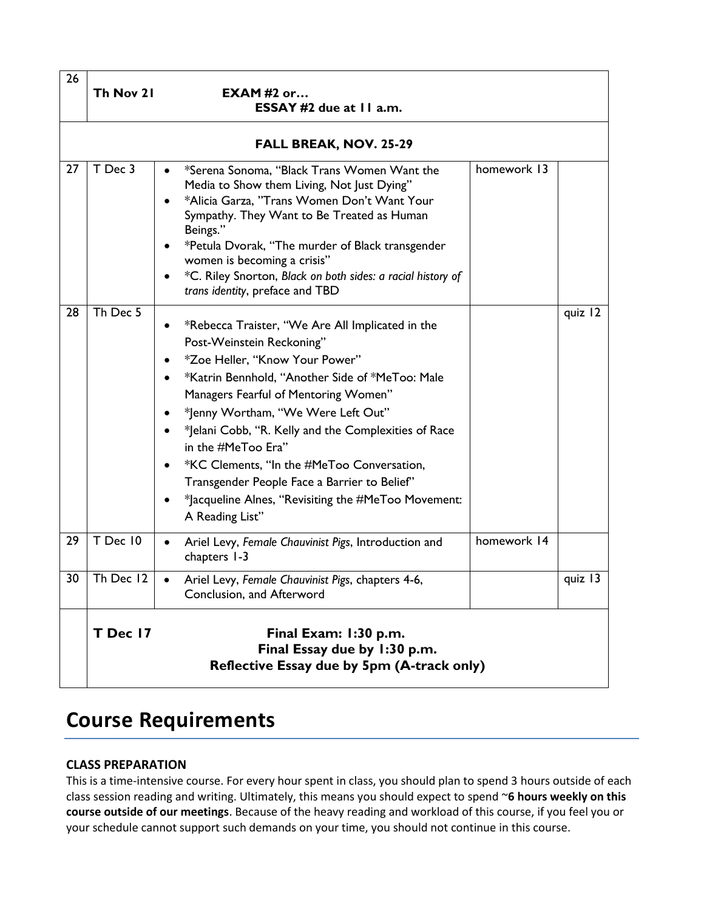| 26 | Th Nov 21 | EXAM#2 or<br>ESSAY #2 due at 11 a.m.                                                                                                                                                                                                                                                                                                                                                                                                                                                                                                                                         |             |         |
|----|-----------|------------------------------------------------------------------------------------------------------------------------------------------------------------------------------------------------------------------------------------------------------------------------------------------------------------------------------------------------------------------------------------------------------------------------------------------------------------------------------------------------------------------------------------------------------------------------------|-------------|---------|
|    |           | <b>FALL BREAK, NOV. 25-29</b>                                                                                                                                                                                                                                                                                                                                                                                                                                                                                                                                                |             |         |
| 27 | T Dec 3   | *Serena Sonoma, "Black Trans Women Want the<br>$\bullet$<br>Media to Show them Living, Not Just Dying"<br>*Alicia Garza, "Trans Women Don't Want Your<br>$\bullet$<br>Sympathy. They Want to Be Treated as Human<br>Beings."<br>*Petula Dvorak, "The murder of Black transgender<br>$\bullet$<br>women is becoming a crisis"<br>*C. Riley Snorton, Black on both sides: a racial history of<br>$\bullet$<br>trans identity, preface and TBD                                                                                                                                  | homework 13 |         |
| 28 | Th Dec 5  | *Rebecca Traister, "We Are All Implicated in the<br>Post-Weinstein Reckoning"<br>*Zoe Heller, "Know Your Power"<br>$\bullet$<br>*Katrin Bennhold, "Another Side of *MeToo: Male<br>$\bullet$<br>Managers Fearful of Mentoring Women"<br>*Jenny Wortham, "We Were Left Out"<br>$\bullet$<br>*Jelani Cobb, "R. Kelly and the Complexities of Race<br>٠<br>in the #MeToo Era"<br>*KC Clements, "In the #MeToo Conversation,<br>$\bullet$<br>Transgender People Face a Barrier to Belief"<br>*Jacqueline Alnes, "Revisiting the #MeToo Movement:<br>$\bullet$<br>A Reading List" |             | quiz 12 |
| 29 | T Dec 10  | Ariel Levy, Female Chauvinist Pigs, Introduction and<br>$\bullet$<br>chapters 1-3                                                                                                                                                                                                                                                                                                                                                                                                                                                                                            | homework 14 |         |
| 30 | Th Dec 12 | Ariel Levy, Female Chauvinist Pigs, chapters 4-6,<br>$\bullet$<br>Conclusion, and Afterword                                                                                                                                                                                                                                                                                                                                                                                                                                                                                  |             | quiz 13 |
|    | T Dec 17  | Final Exam: 1:30 p.m.<br>Final Essay due by 1:30 p.m.<br>Reflective Essay due by 5pm (A-track only)                                                                                                                                                                                                                                                                                                                                                                                                                                                                          |             |         |

## **Course Requirements**

## **CLASS PREPARATION**

This is a time-intensive course. For every hour spent in class, you should plan to spend 3 hours outside of each class session reading and writing. Ultimately, this means you should expect to spend ~**6 hours weekly on this course outside of our meetings**. Because of the heavy reading and workload of this course, if you feel you or your schedule cannot support such demands on your time, you should not continue in this course.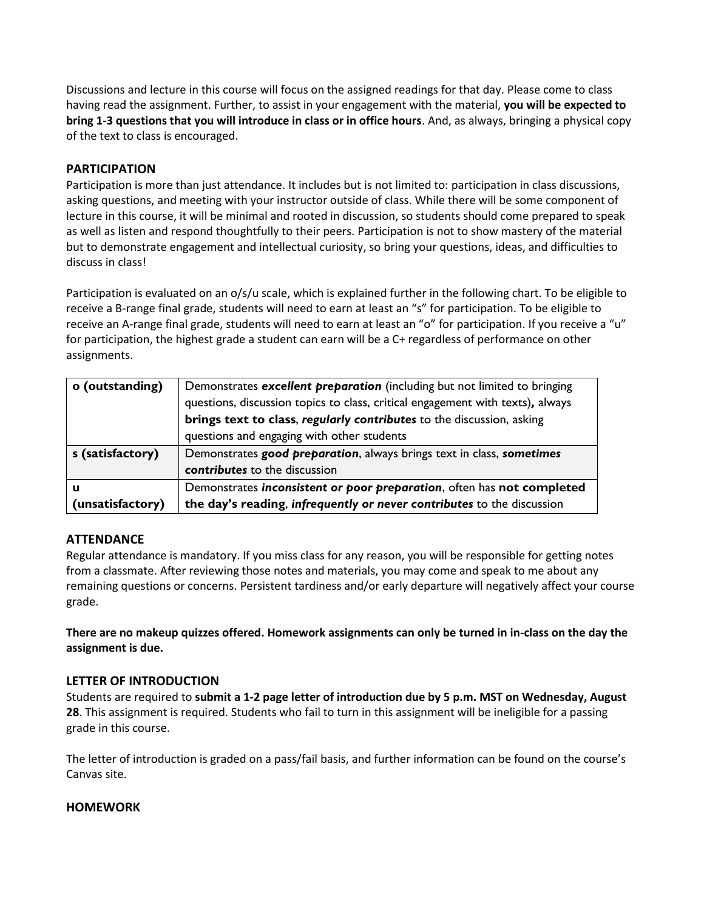Discussions and lecture in this course will focus on the assigned readings for that day. Please come to class having read the assignment. Further, to assist in your engagement with the material, **you will be expected to bring 1-3 questions that you will introduce in class or in office hours**. And, as always, bringing a physical copy of the text to class is encouraged.

## **PARTICIPATION**

Participation is more than just attendance. It includes but is not limited to: participation in class discussions, asking questions, and meeting with your instructor outside of class. While there will be some component of lecture in this course, it will be minimal and rooted in discussion, so students should come prepared to speak as well as listen and respond thoughtfully to their peers. Participation is not to show mastery of the material but to demonstrate engagement and intellectual curiosity, so bring your questions, ideas, and difficulties to discuss in class!

Participation is evaluated on an o/s/u scale, which is explained further in the following chart. To be eligible to receive a B-range final grade, students will need to earn at least an "s" for participation. To be eligible to receive an A-range final grade, students will need to earn at least an "o" for participation. If you receive a "u" for participation, the highest grade a student can earn will be a C+ regardless of performance on other assignments.

| o (outstanding)  | Demonstrates excellent preparation (including but not limited to bringing      |  |  |
|------------------|--------------------------------------------------------------------------------|--|--|
|                  | questions, discussion topics to class, critical engagement with texts), always |  |  |
|                  | brings text to class, regularly contributes to the discussion, asking          |  |  |
|                  | questions and engaging with other students                                     |  |  |
| s (satisfactory) | Demonstrates good preparation, always brings text in class, sometimes          |  |  |
|                  | contributes to the discussion                                                  |  |  |
| u                | Demonstrates inconsistent or poor preparation, often has not completed         |  |  |
| (unsatisfactory) | the day's reading, infrequently or never contributes to the discussion         |  |  |

## **ATTENDANCE**

Regular attendance is mandatory. If you miss class for any reason, you will be responsible for getting notes from a classmate. After reviewing those notes and materials, you may come and speak to me about any remaining questions or concerns. Persistent tardiness and/or early departure will negatively affect your course grade.

**There are no makeup quizzes offered. Homework assignments can only be turned in in-class on the day the assignment is due.**

## **LETTER OF INTRODUCTION**

Students are required to **submit a 1-2 page letter of introduction due by 5 p.m. MST on Wednesday, August 28**. This assignment is required. Students who fail to turn in this assignment will be ineligible for a passing grade in this course.

The letter of introduction is graded on a pass/fail basis, and further information can be found on the course's Canvas site.

## **HOMEWORK**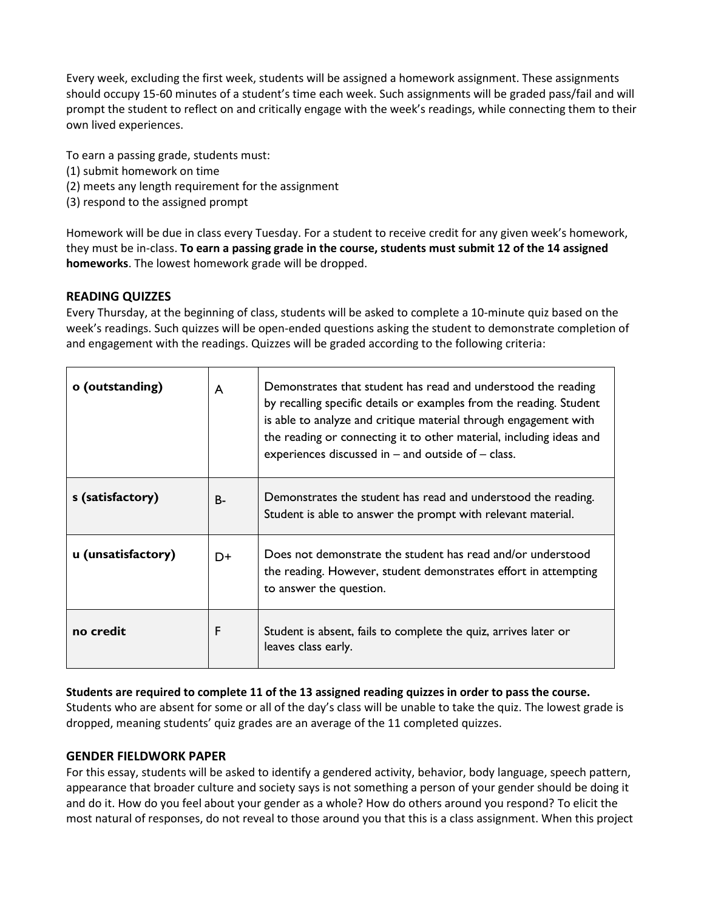Every week, excluding the first week, students will be assigned a homework assignment. These assignments should occupy 15-60 minutes of a student's time each week. Such assignments will be graded pass/fail and will prompt the student to reflect on and critically engage with the week's readings, while connecting them to their own lived experiences.

To earn a passing grade, students must:

- (1) submit homework on time
- (2) meets any length requirement for the assignment
- (3) respond to the assigned prompt

Homework will be due in class every Tuesday. For a student to receive credit for any given week's homework, they must be in-class. **To earn a passing grade in the course, students must submit 12 of the 14 assigned homeworks**. The lowest homework grade will be dropped.

## **READING QUIZZES**

Every Thursday, at the beginning of class, students will be asked to complete a 10-minute quiz based on the week's readings. Such quizzes will be open-ended questions asking the student to demonstrate completion of and engagement with the readings. Quizzes will be graded according to the following criteria:

| o (outstanding)    | A     | Demonstrates that student has read and understood the reading<br>by recalling specific details or examples from the reading. Student<br>is able to analyze and critique material through engagement with<br>the reading or connecting it to other material, including ideas and<br>experiences discussed in $-$ and outside of $-$ class. |
|--------------------|-------|-------------------------------------------------------------------------------------------------------------------------------------------------------------------------------------------------------------------------------------------------------------------------------------------------------------------------------------------|
| s (satisfactory)   | $B -$ | Demonstrates the student has read and understood the reading.<br>Student is able to answer the prompt with relevant material.                                                                                                                                                                                                             |
| u (unsatisfactory) | D+    | Does not demonstrate the student has read and/or understood<br>the reading. However, student demonstrates effort in attempting<br>to answer the question.                                                                                                                                                                                 |
| no credit          | F     | Student is absent, fails to complete the quiz, arrives later or<br>leaves class early.                                                                                                                                                                                                                                                    |

**Students are required to complete 11 of the 13 assigned reading quizzes in order to pass the course.** 

Students who are absent for some or all of the day's class will be unable to take the quiz. The lowest grade is dropped, meaning students' quiz grades are an average of the 11 completed quizzes.

## **GENDER FIELDWORK PAPER**

For this essay, students will be asked to identify a gendered activity, behavior, body language, speech pattern, appearance that broader culture and society says is not something a person of your gender should be doing it and do it. How do you feel about your gender as a whole? How do others around you respond? To elicit the most natural of responses, do not reveal to those around you that this is a class assignment. When this project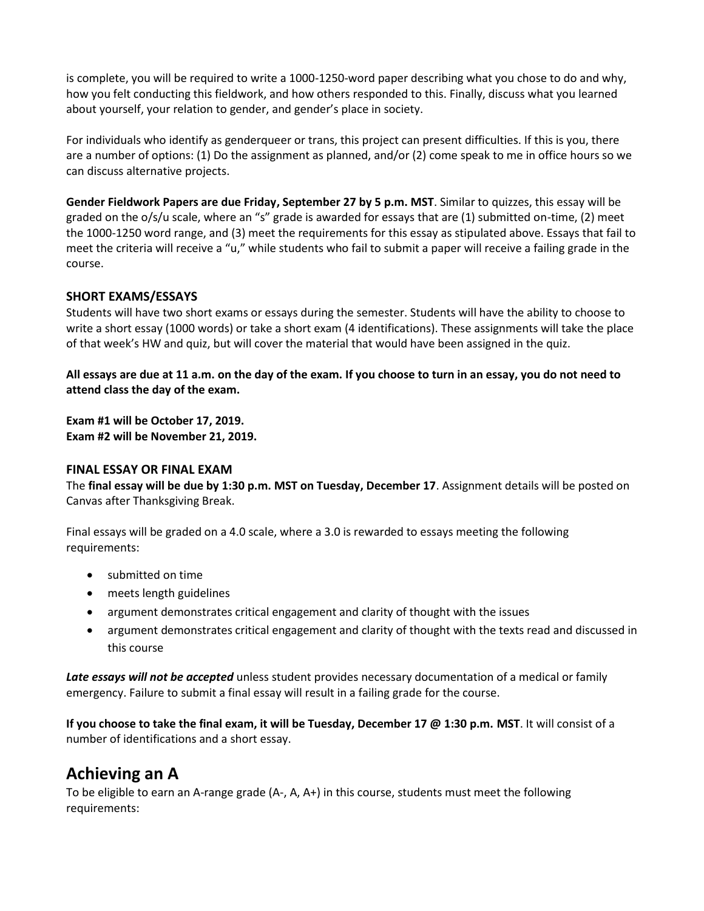is complete, you will be required to write a 1000-1250-word paper describing what you chose to do and why, how you felt conducting this fieldwork, and how others responded to this. Finally, discuss what you learned about yourself, your relation to gender, and gender's place in society.

For individuals who identify as genderqueer or trans, this project can present difficulties. If this is you, there are a number of options: (1) Do the assignment as planned, and/or (2) come speak to me in office hours so we can discuss alternative projects.

**Gender Fieldwork Papers are due Friday, September 27 by 5 p.m. MST**. Similar to quizzes, this essay will be graded on the o/s/u scale, where an "s" grade is awarded for essays that are (1) submitted on-time, (2) meet the 1000-1250 word range, and (3) meet the requirements for this essay as stipulated above. Essays that fail to meet the criteria will receive a "u," while students who fail to submit a paper will receive a failing grade in the course.

## **SHORT EXAMS/ESSAYS**

Students will have two short exams or essays during the semester. Students will have the ability to choose to write a short essay (1000 words) or take a short exam (4 identifications). These assignments will take the place of that week's HW and quiz, but will cover the material that would have been assigned in the quiz.

**All essays are due at 11 a.m. on the day of the exam. If you choose to turn in an essay, you do not need to attend class the day of the exam.**

**Exam #1 will be October 17, 2019. Exam #2 will be November 21, 2019.**

#### **FINAL ESSAY OR FINAL EXAM**

The **final essay will be due by 1:30 p.m. MST on Tuesday, December 17**. Assignment details will be posted on Canvas after Thanksgiving Break.

Final essays will be graded on a 4.0 scale, where a 3.0 is rewarded to essays meeting the following requirements:

- submitted on time
- meets length guidelines
- argument demonstrates critical engagement and clarity of thought with the issues
- argument demonstrates critical engagement and clarity of thought with the texts read and discussed in this course

*Late essays will not be accepted* unless student provides necessary documentation of a medical or family emergency. Failure to submit a final essay will result in a failing grade for the course.

**If you choose to take the final exam, it will be Tuesday, December 17 @ 1:30 p.m. MST**. It will consist of a number of identifications and a short essay.

## **Achieving an A**

To be eligible to earn an A-range grade (A-, A, A+) in this course, students must meet the following requirements: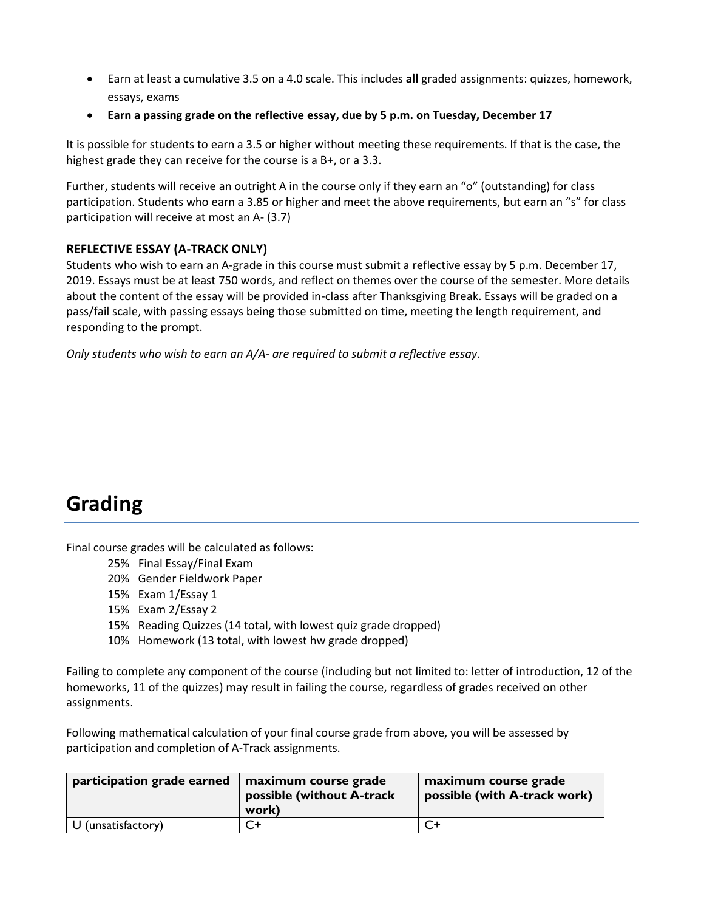- Earn at least a cumulative 3.5 on a 4.0 scale. This includes **all** graded assignments: quizzes, homework, essays, exams
- **Earn a passing grade on the reflective essay, due by 5 p.m. on Tuesday, December 17**

It is possible for students to earn a 3.5 or higher without meeting these requirements. If that is the case, the highest grade they can receive for the course is a B+, or a 3.3.

Further, students will receive an outright A in the course only if they earn an "o" (outstanding) for class participation. Students who earn a 3.85 or higher and meet the above requirements, but earn an "s" for class participation will receive at most an A- (3.7)

## **REFLECTIVE ESSAY (A-TRACK ONLY)**

Students who wish to earn an A-grade in this course must submit a reflective essay by 5 p.m. December 17, 2019. Essays must be at least 750 words, and reflect on themes over the course of the semester. More details about the content of the essay will be provided in-class after Thanksgiving Break. Essays will be graded on a pass/fail scale, with passing essays being those submitted on time, meeting the length requirement, and responding to the prompt.

*Only students who wish to earn an A/A- are required to submit a reflective essay.*

# **Grading**

Final course grades will be calculated as follows:

- 25% Final Essay/Final Exam
- 20% Gender Fieldwork Paper
- 15% Exam 1/Essay 1
- 15% Exam 2/Essay 2
- 15% Reading Quizzes (14 total, with lowest quiz grade dropped)
- 10% Homework (13 total, with lowest hw grade dropped)

Failing to complete any component of the course (including but not limited to: letter of introduction, 12 of the homeworks, 11 of the quizzes) may result in failing the course, regardless of grades received on other assignments.

Following mathematical calculation of your final course grade from above, you will be assessed by participation and completion of A-Track assignments.

| participation grade earned | <b>maximum course grade</b><br>possible (without A-track<br>work) | maximum course grade<br>possible (with A-track work) |
|----------------------------|-------------------------------------------------------------------|------------------------------------------------------|
| U (unsatisfactory)         | Σ+                                                                |                                                      |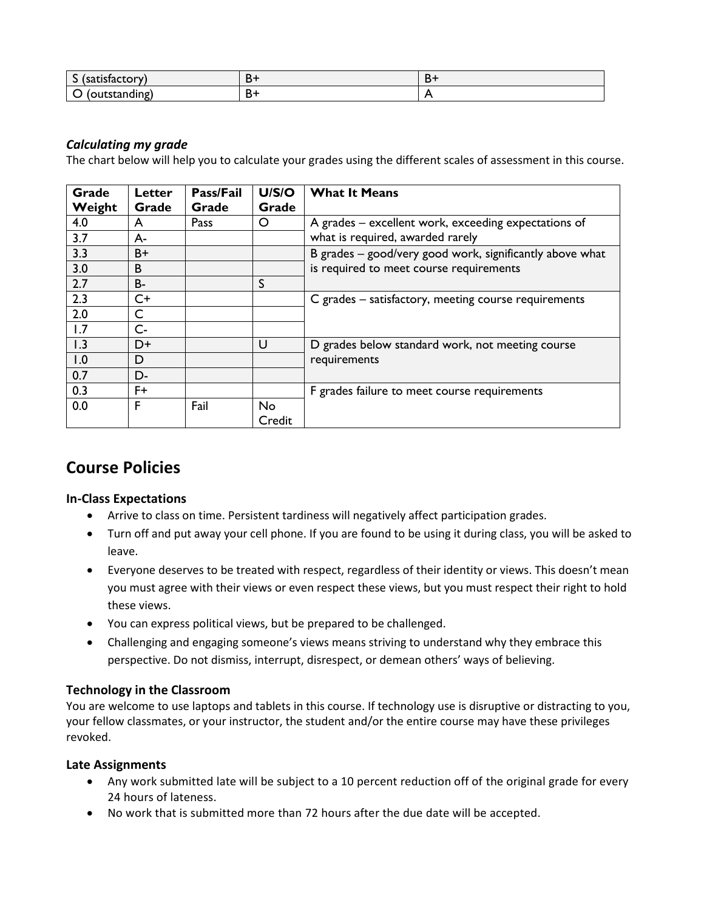| $\epsilon$<br>ilisiaclui<br>$\overline{\phantom{a}}$<br>. |   | ◡ |
|-----------------------------------------------------------|---|---|
| ∼                                                         | − |   |

## *Calculating my grade*

The chart below will help you to calculate your grades using the different scales of assessment in this course.

| Grade<br>Weight | Letter<br>Grade | Pass/Fail<br>Grade | U/S/O<br>Grade | <b>What It Means</b>                                                                                |
|-----------------|-----------------|--------------------|----------------|-----------------------------------------------------------------------------------------------------|
| 4.0             | A               | Pass               | O              | A grades – excellent work, exceeding expectations of                                                |
| 3.7             | A-              |                    |                | what is required, awarded rarely                                                                    |
| 3.3             | B+              |                    |                | B grades – good/very good work, significantly above what<br>is required to meet course requirements |
| 3.0             | B               |                    |                |                                                                                                     |
| 2.7             | B-              |                    | S              |                                                                                                     |
| 2.3             | C+              |                    |                | C grades – satisfactory, meeting course requirements                                                |
| 2.0             | C               |                    |                |                                                                                                     |
| 1.7             | $C -$           |                    |                |                                                                                                     |
| 1.3             | D+              |                    | U              | D grades below standard work, not meeting course<br>requirements                                    |
| 1.0             | D               |                    |                |                                                                                                     |
| 0.7             | D-              |                    |                |                                                                                                     |
| 0.3             | F+              |                    |                | F grades failure to meet course requirements                                                        |
| 0.0             | F               | Fail               | No             |                                                                                                     |
|                 |                 |                    | Credit         |                                                                                                     |

## **Course Policies**

#### **In-Class Expectations**

- Arrive to class on time. Persistent tardiness will negatively affect participation grades.
- Turn off and put away your cell phone. If you are found to be using it during class, you will be asked to leave.
- Everyone deserves to be treated with respect, regardless of their identity or views. This doesn't mean you must agree with their views or even respect these views, but you must respect their right to hold these views.
- You can express political views, but be prepared to be challenged.
- Challenging and engaging someone's views means striving to understand why they embrace this perspective. Do not dismiss, interrupt, disrespect, or demean others' ways of believing.

## **Technology in the Classroom**

You are welcome to use laptops and tablets in this course. If technology use is disruptive or distracting to you, your fellow classmates, or your instructor, the student and/or the entire course may have these privileges revoked.

## **Late Assignments**

- Any work submitted late will be subject to a 10 percent reduction off of the original grade for every 24 hours of lateness.
- No work that is submitted more than 72 hours after the due date will be accepted.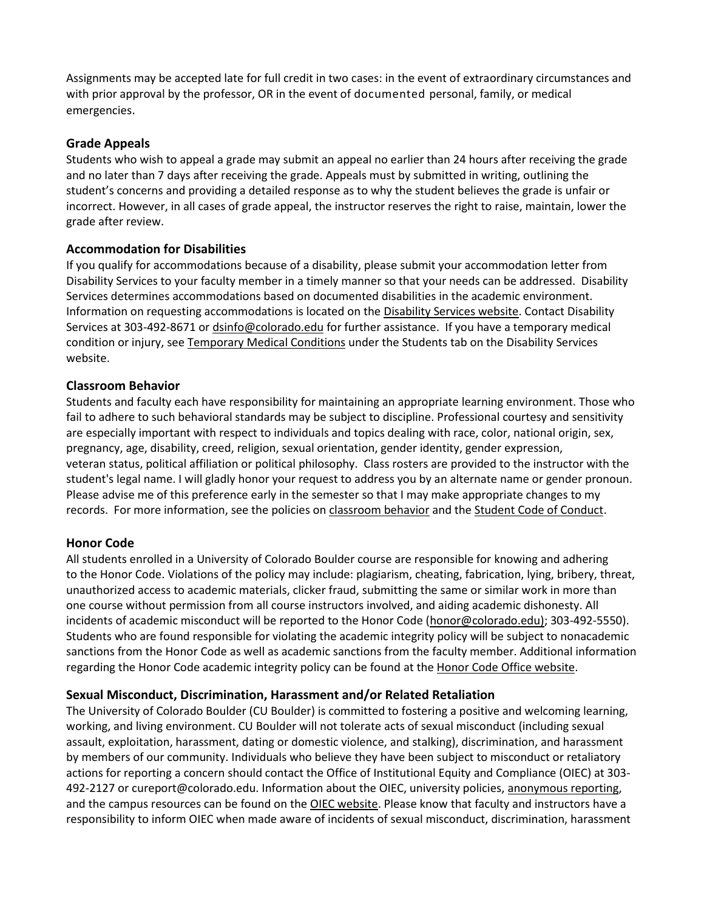Assignments may be accepted late for full credit in two cases: in the event of extraordinary circumstances and with prior approval by the professor, OR in the event of documented personal, family, or medical emergencies.

## **Grade Appeals**

Students who wish to appeal a grade may submit an appeal no earlier than 24 hours after receiving the grade and no later than 7 days after receiving the grade. Appeals must by submitted in writing, outlining the student's concerns and providing a detailed response as to why the student believes the grade is unfair or incorrect. However, in all cases of grade appeal, the instructor reserves the right to raise, maintain, lower the grade after review.

## **Accommodation for Disabilities**

If you qualify for accommodations because of a disability, please submit your accommodation letter from Disability Services to your faculty member in a timely manner so that your needs can be addressed. Disability Services determines accommodations based on documented disabilities in the academic environment. Information on requesting accommodations is located on th[e Disability Services website.](http://www.colorado.edu/disabilityservices/students) Contact Disability Services at 303-492-8671 or [dsinfo@colorado.edu](mailto:dsinfo@colorado.edu) for further assistance. If you have a temporary medical condition or injury, see [Temporary Medical Conditions](http://www.colorado.edu/disabilityservices/students/temporary-medical-conditions) under the Students tab on the Disability Services website.

## **Classroom Behavior**

Students and faculty each have responsibility for maintaining an appropriate learning environment. Those who fail to adhere to such behavioral standards may be subject to discipline. Professional courtesy and sensitivity are especially important with respect to individuals and topics dealing with race, color, national origin, sex, pregnancy, age, disability, creed, religion, sexual orientation, gender identity, gender expression, veteran status, political affiliation or political philosophy. Class rosters are provided to the instructor with the student's legal name. I will gladly honor your request to address you by an alternate name or gender pronoun. Please advise me of this preference early in the semester so that I may make appropriate changes to my records. For more information, see the policies on [classroom behavior](http://www.colorado.edu/policies/student-classroom-and-course-related-behavior) and th[e Student Code of Conduct.](http://www.colorado.edu/osccr/)

## **Honor Code**

All students enrolled in a University of Colorado Boulder course are responsible for knowing and adhering to the Honor Code. Violations of the policy may include: plagiarism, cheating, fabrication, lying, bribery, threat, unauthorized access to academic materials, clicker fraud, submitting the same or similar work in more than one course without permission from all course instructors involved, and aiding academic dishonesty. All incidents of academic misconduct will be reported to the Honor Code [\(honor@colorado.edu\)](mailto:honor@colorado.edu); 303-492-5550). Students who are found responsible for violating the academic integrity policy will be subject to nonacademic sanctions from the Honor Code as well as academic sanctions from the faculty member. Additional information regarding the Honor Code academic integrity policy can be found at the [Honor Code Office website.](https://www.colorado.edu/osccr/honor-code)

## **Sexual Misconduct, Discrimination, Harassment and/or Related Retaliation**

The University of Colorado Boulder (CU Boulder) is committed to fostering a positive and welcoming learning, working, and living environment. CU Boulder will not tolerate acts of sexual misconduct (including sexual assault, exploitation, harassment, dating or domestic violence, and stalking), discrimination, and harassment by members of our community. Individuals who believe they have been subject to misconduct or retaliatory actions for reporting a concern should contact the Office of Institutional Equity and Compliance (OIEC) at 303- 492-2127 or cureport@colorado.edu. Information about the OIEC, university policies[, anonymous reporting,](https://cuboulder.qualtrics.com/jfe/form/SV_0PnqVK4kkIJIZnf) and the campus resources can be found on th[e OIEC website.](http://www.colorado.edu/institutionalequity/) Please know that faculty and instructors have a responsibility to inform OIEC when made aware of incidents of sexual misconduct, discrimination, harassment